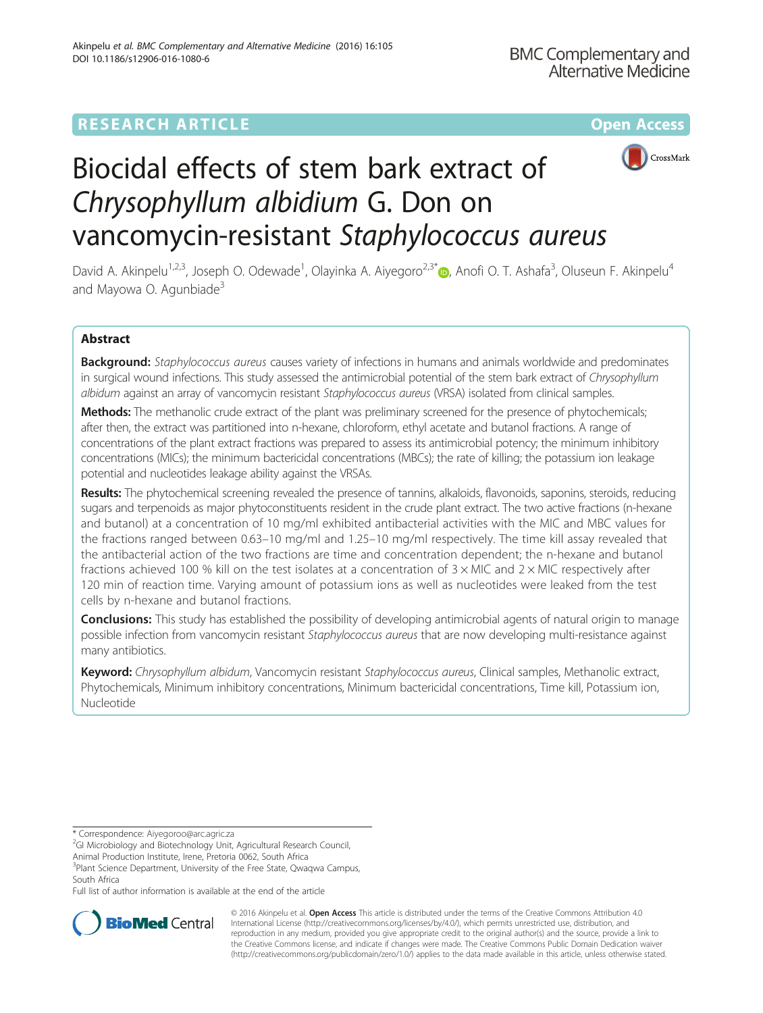# **RESEARCH ARTICLE Example 2014 12:30 The Company Access** (RESEARCH ARTICLE



# Biocidal effects of stem bark extract of Chrysophyllum albidium G. Don on vancomycin-resistant Staphylococcus aureus

David A. Akinpelu<sup>1[,](http://orcid.org/0000-0001-6664-6574)2,3</sup>, Joseph O. Odewade<sup>1</sup>, Olayinka A. Aiyegoro<sup>2,3\*</sup> (@, Anofi O. T. Ashafa<sup>3</sup>, Oluseun F. Akinpelu<sup>4</sup> and Mayowa O. Agunbiade<sup>3</sup>

# Abstract

Background: Staphylococcus aureus causes variety of infections in humans and animals worldwide and predominates in surgical wound infections. This study assessed the antimicrobial potential of the stem bark extract of Chrysophyllum albidum against an array of vancomycin resistant Staphylococcus aureus (VRSA) isolated from clinical samples.

Methods: The methanolic crude extract of the plant was preliminary screened for the presence of phytochemicals; after then, the extract was partitioned into n-hexane, chloroform, ethyl acetate and butanol fractions. A range of concentrations of the plant extract fractions was prepared to assess its antimicrobial potency; the minimum inhibitory concentrations (MICs); the minimum bactericidal concentrations (MBCs); the rate of killing; the potassium ion leakage potential and nucleotides leakage ability against the VRSAs.

Results: The phytochemical screening revealed the presence of tannins, alkaloids, flavonoids, saponins, steroids, reducing sugars and terpenoids as major phytoconstituents resident in the crude plant extract. The two active fractions (n-hexane and butanol) at a concentration of 10 mg/ml exhibited antibacterial activities with the MIC and MBC values for the fractions ranged between 0.63–10 mg/ml and 1.25–10 mg/ml respectively. The time kill assay revealed that the antibacterial action of the two fractions are time and concentration dependent; the n-hexane and butanol fractions achieved 100 % kill on the test isolates at a concentration of  $3 \times$  MIC and  $2 \times$  MIC respectively after 120 min of reaction time. Varying amount of potassium ions as well as nucleotides were leaked from the test cells by n-hexane and butanol fractions.

**Conclusions:** This study has established the possibility of developing antimicrobial agents of natural origin to manage possible infection from vancomycin resistant Staphylococcus aureus that are now developing multi-resistance against many antibiotics.

Keyword: Chrysophyllum albidum, Vancomycin resistant Staphylococcus aureus, Clinical samples, Methanolic extract, Phytochemicals, Minimum inhibitory concentrations, Minimum bactericidal concentrations, Time kill, Potassium ion, Nucleotide

Animal Production Institute, Irene, Pretoria 0062, South Africa

<sup>3</sup>Plant Science Department, University of the Free State, Qwaqwa Campus, South Africa

Full list of author information is available at the end of the article



© 2016 Akinpelu et al. **Open Access** This article is distributed under the terms of the Creative Commons Attribution 4.0 International License [\(http://creativecommons.org/licenses/by/4.0/](http://creativecommons.org/licenses/by/4.0/)), which permits unrestricted use, distribution, and reproduction in any medium, provided you give appropriate credit to the original author(s) and the source, provide a link to the Creative Commons license, and indicate if changes were made. The Creative Commons Public Domain Dedication waiver [\(http://creativecommons.org/publicdomain/zero/1.0/](http://creativecommons.org/publicdomain/zero/1.0/)) applies to the data made available in this article, unless otherwise stated.

<sup>\*</sup> Correspondence: [Aiyegoroo@arc.agric.za](mailto:Aiyegoroo@arc.agric.za) <sup>2</sup>

<sup>&</sup>lt;sup>2</sup>GI Microbiology and Biotechnology Unit, Agricultural Research Council,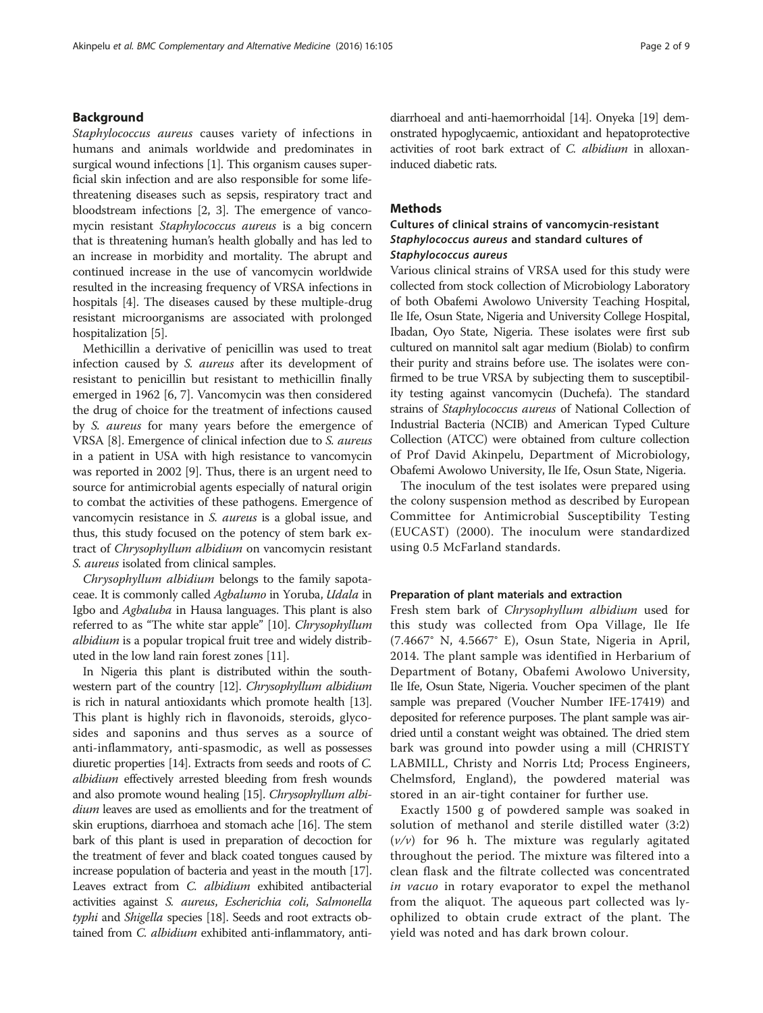## Background

Staphylococcus aureus causes variety of infections in humans and animals worldwide and predominates in surgical wound infections [[1](#page-7-0)]. This organism causes superficial skin infection and are also responsible for some lifethreatening diseases such as sepsis, respiratory tract and bloodstream infections [\[2](#page-7-0), [3](#page-8-0)]. The emergence of vancomycin resistant Staphylococcus aureus is a big concern that is threatening human's health globally and has led to an increase in morbidity and mortality. The abrupt and continued increase in the use of vancomycin worldwide resulted in the increasing frequency of VRSA infections in hospitals [[4](#page-8-0)]. The diseases caused by these multiple-drug resistant microorganisms are associated with prolonged hospitalization [[5](#page-8-0)].

Methicillin a derivative of penicillin was used to treat infection caused by S. aureus after its development of resistant to penicillin but resistant to methicillin finally emerged in 1962 [\[6, 7\]](#page-8-0). Vancomycin was then considered the drug of choice for the treatment of infections caused by S. aureus for many years before the emergence of VRSA [\[8\]](#page-8-0). Emergence of clinical infection due to S. aureus in a patient in USA with high resistance to vancomycin was reported in 2002 [[9](#page-8-0)]. Thus, there is an urgent need to source for antimicrobial agents especially of natural origin to combat the activities of these pathogens. Emergence of vancomycin resistance in S. aureus is a global issue, and thus, this study focused on the potency of stem bark extract of Chrysophyllum albidium on vancomycin resistant S. aureus isolated from clinical samples.

Chrysophyllum albidium belongs to the family sapotaceae. It is commonly called Agbalumo in Yoruba, Udala in Igbo and Agbaluba in Hausa languages. This plant is also referred to as "The white star apple" [\[10\]](#page-8-0). Chrysophyllum albidium is a popular tropical fruit tree and widely distributed in the low land rain forest zones [\[11\]](#page-8-0).

In Nigeria this plant is distributed within the southwestern part of the country [\[12](#page-8-0)]. Chrysophyllum albidium is rich in natural antioxidants which promote health [\[13](#page-8-0)]. This plant is highly rich in flavonoids, steroids, glycosides and saponins and thus serves as a source of anti-inflammatory, anti-spasmodic, as well as possesses diuretic properties [\[14\]](#page-8-0). Extracts from seeds and roots of C. albidium effectively arrested bleeding from fresh wounds and also promote wound healing [[15](#page-8-0)]. Chrysophyllum albidium leaves are used as emollients and for the treatment of skin eruptions, diarrhoea and stomach ache [\[16\]](#page-8-0). The stem bark of this plant is used in preparation of decoction for the treatment of fever and black coated tongues caused by increase population of bacteria and yeast in the mouth [\[17](#page-8-0)]. Leaves extract from *C. albidium* exhibited antibacterial activities against S. aureus, Escherichia coli, Salmonella typhi and Shigella species [\[18](#page-8-0)]. Seeds and root extracts obtained from *C. albidium* exhibited anti-inflammatory, antidiarrhoeal and anti-haemorrhoidal [[14\]](#page-8-0). Onyeka [\[19](#page-8-0)] demonstrated hypoglycaemic, antioxidant and hepatoprotective activities of root bark extract of C. albidium in alloxaninduced diabetic rats.

#### **Methods**

## Cultures of clinical strains of vancomycin-resistant Staphylococcus aureus and standard cultures of Staphylococcus aureus

Various clinical strains of VRSA used for this study were collected from stock collection of Microbiology Laboratory of both Obafemi Awolowo University Teaching Hospital, Ile Ife, Osun State, Nigeria and University College Hospital, Ibadan, Oyo State, Nigeria. These isolates were first sub cultured on mannitol salt agar medium (Biolab) to confirm their purity and strains before use. The isolates were confirmed to be true VRSA by subjecting them to susceptibility testing against vancomycin (Duchefa). The standard strains of Staphylococcus aureus of National Collection of Industrial Bacteria (NCIB) and American Typed Culture Collection (ATCC) were obtained from culture collection of Prof David Akinpelu, Department of Microbiology, Obafemi Awolowo University, Ile Ife, Osun State, Nigeria.

The inoculum of the test isolates were prepared using the colony suspension method as described by European Committee for Antimicrobial Susceptibility Testing (EUCAST) (2000). The inoculum were standardized using 0.5 McFarland standards.

#### Preparation of plant materials and extraction

Fresh stem bark of Chrysophyllum albidium used for this study was collected from Opa Village, Ile Ife (7.4667° N, 4.5667° E), Osun State, Nigeria in April, 2014. The plant sample was identified in Herbarium of Department of Botany, Obafemi Awolowo University, Ile Ife, Osun State, Nigeria. Voucher specimen of the plant sample was prepared (Voucher Number IFE-17419) and deposited for reference purposes. The plant sample was airdried until a constant weight was obtained. The dried stem bark was ground into powder using a mill (CHRISTY LABMILL, Christy and Norris Ltd; Process Engineers, Chelmsford, England), the powdered material was stored in an air-tight container for further use.

Exactly 1500 g of powdered sample was soaked in solution of methanol and sterile distilled water (3:2)  $(v/v)$  for 96 h. The mixture was regularly agitated throughout the period. The mixture was filtered into a clean flask and the filtrate collected was concentrated in vacuo in rotary evaporator to expel the methanol from the aliquot. The aqueous part collected was lyophilized to obtain crude extract of the plant. The yield was noted and has dark brown colour.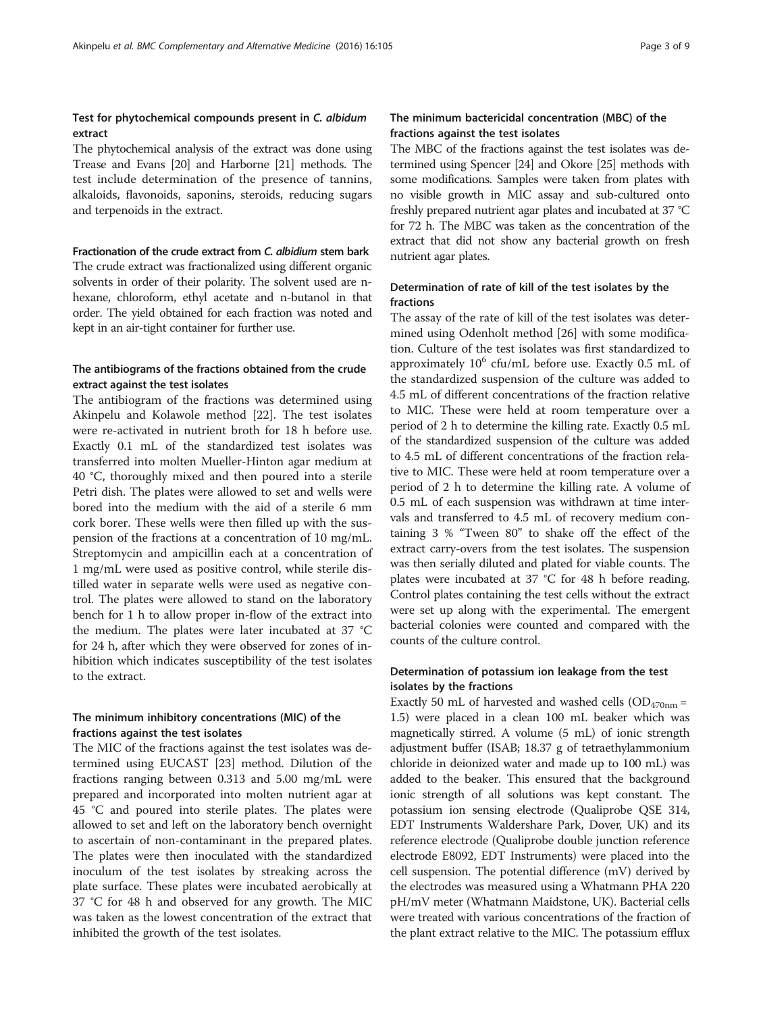### Test for phytochemical compounds present in C. albidum extract

The phytochemical analysis of the extract was done using Trease and Evans [\[20\]](#page-8-0) and Harborne [[21](#page-8-0)] methods. The test include determination of the presence of tannins, alkaloids, flavonoids, saponins, steroids, reducing sugars and terpenoids in the extract.

#### Fractionation of the crude extract from C. albidium stem bark

The crude extract was fractionalized using different organic solvents in order of their polarity. The solvent used are nhexane, chloroform, ethyl acetate and n-butanol in that order. The yield obtained for each fraction was noted and kept in an air-tight container for further use.

## The antibiograms of the fractions obtained from the crude extract against the test isolates

The antibiogram of the fractions was determined using Akinpelu and Kolawole method [\[22](#page-8-0)]. The test isolates were re-activated in nutrient broth for 18 h before use. Exactly 0.1 mL of the standardized test isolates was transferred into molten Mueller-Hinton agar medium at 40 °C, thoroughly mixed and then poured into a sterile Petri dish. The plates were allowed to set and wells were bored into the medium with the aid of a sterile 6 mm cork borer. These wells were then filled up with the suspension of the fractions at a concentration of 10 mg/mL. Streptomycin and ampicillin each at a concentration of 1 mg/mL were used as positive control, while sterile distilled water in separate wells were used as negative control. The plates were allowed to stand on the laboratory bench for 1 h to allow proper in-flow of the extract into the medium. The plates were later incubated at 37 °C for 24 h, after which they were observed for zones of inhibition which indicates susceptibility of the test isolates to the extract.

#### The minimum inhibitory concentrations (MIC) of the fractions against the test isolates

The MIC of the fractions against the test isolates was determined using EUCAST [[23\]](#page-8-0) method. Dilution of the fractions ranging between 0.313 and 5.00 mg/mL were prepared and incorporated into molten nutrient agar at 45 °C and poured into sterile plates. The plates were allowed to set and left on the laboratory bench overnight to ascertain of non-contaminant in the prepared plates. The plates were then inoculated with the standardized inoculum of the test isolates by streaking across the plate surface. These plates were incubated aerobically at 37 °C for 48 h and observed for any growth. The MIC was taken as the lowest concentration of the extract that inhibited the growth of the test isolates.

## The minimum bactericidal concentration (MBC) of the fractions against the test isolates

The MBC of the fractions against the test isolates was determined using Spencer [[24](#page-8-0)] and Okore [[25](#page-8-0)] methods with some modifications. Samples were taken from plates with no visible growth in MIC assay and sub-cultured onto freshly prepared nutrient agar plates and incubated at 37 °C for 72 h. The MBC was taken as the concentration of the extract that did not show any bacterial growth on fresh nutrient agar plates.

## Determination of rate of kill of the test isolates by the fractions

The assay of the rate of kill of the test isolates was determined using Odenholt method [\[26\]](#page-8-0) with some modification. Culture of the test isolates was first standardized to approximately  $10^6$  cfu/mL before use. Exactly 0.5 mL of the standardized suspension of the culture was added to 4.5 mL of different concentrations of the fraction relative to MIC. These were held at room temperature over a period of 2 h to determine the killing rate. Exactly 0.5 mL of the standardized suspension of the culture was added to 4.5 mL of different concentrations of the fraction relative to MIC. These were held at room temperature over a period of 2 h to determine the killing rate. A volume of 0.5 mL of each suspension was withdrawn at time intervals and transferred to 4.5 mL of recovery medium containing 3 % "Tween 80" to shake off the effect of the extract carry-overs from the test isolates. The suspension was then serially diluted and plated for viable counts. The plates were incubated at 37 °C for 48 h before reading. Control plates containing the test cells without the extract were set up along with the experimental. The emergent bacterial colonies were counted and compared with the counts of the culture control.

## Determination of potassium ion leakage from the test isolates by the fractions

Exactly 50 mL of harvested and washed cells ( $OD_{470nm}$  = 1.5) were placed in a clean 100 mL beaker which was magnetically stirred. A volume (5 mL) of ionic strength adjustment buffer (ISAB; 18.37 g of tetraethylammonium chloride in deionized water and made up to 100 mL) was added to the beaker. This ensured that the background ionic strength of all solutions was kept constant. The potassium ion sensing electrode (Qualiprobe QSE 314, EDT Instruments Waldershare Park, Dover, UK) and its reference electrode (Qualiprobe double junction reference electrode E8092, EDT Instruments) were placed into the cell suspension. The potential difference (mV) derived by the electrodes was measured using a Whatmann PHA 220 pH/mV meter (Whatmann Maidstone, UK). Bacterial cells were treated with various concentrations of the fraction of the plant extract relative to the MIC. The potassium efflux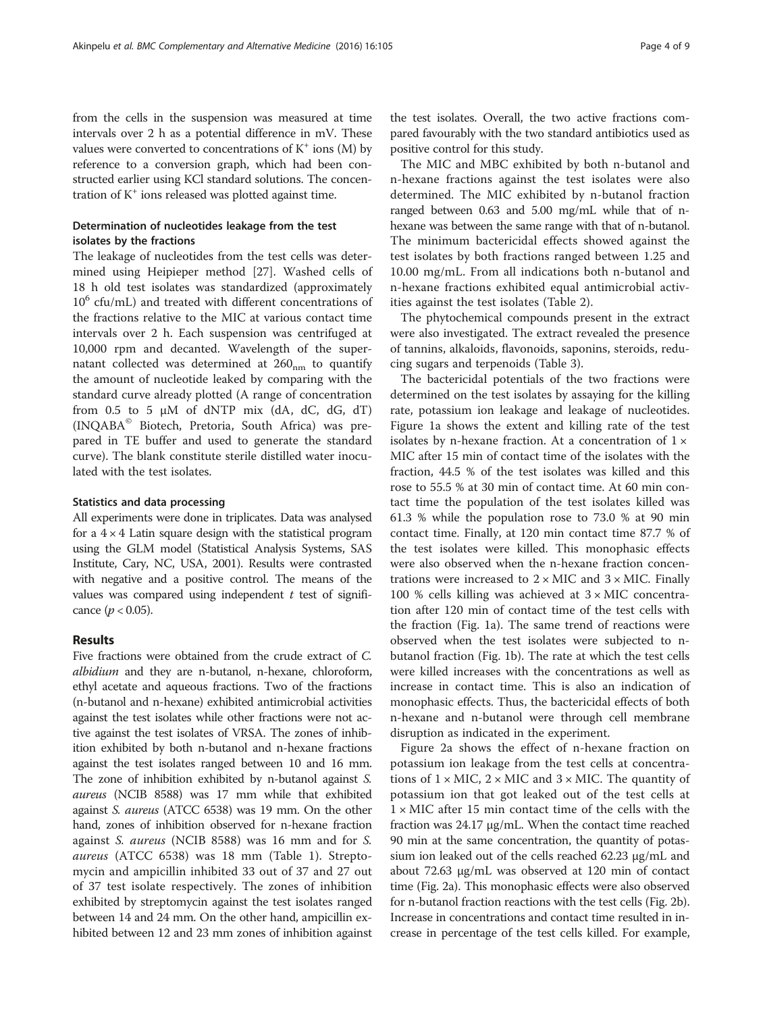from the cells in the suspension was measured at time intervals over 2 h as a potential difference in mV. These values were converted to concentrations of  $K^+$  ions  $(M)$  by reference to a conversion graph, which had been constructed earlier using KCl standard solutions. The concentration of  $K^+$  ions released was plotted against time.

## Determination of nucleotides leakage from the test isolates by the fractions

The leakage of nucleotides from the test cells was determined using Heipieper method [\[27](#page-8-0)]. Washed cells of 18 h old test isolates was standardized (approximately  $10^6$  cfu/mL) and treated with different concentrations of the fractions relative to the MIC at various contact time intervals over 2 h. Each suspension was centrifuged at 10,000 rpm and decanted. Wavelength of the supernatant collected was determined at  $260<sub>nm</sub>$  to quantify the amount of nucleotide leaked by comparing with the standard curve already plotted (A range of concentration from  $0.5$  to  $5 \mu M$  of dNTP mix (dA, dC, dG, dT) (INQABA© Biotech, Pretoria, South Africa) was prepared in TE buffer and used to generate the standard curve). The blank constitute sterile distilled water inoculated with the test isolates.

#### Statistics and data processing

All experiments were done in triplicates. Data was analysed for a  $4 \times 4$  Latin square design with the statistical program using the GLM model (Statistical Analysis Systems, SAS Institute, Cary, NC, USA, 2001). Results were contrasted with negative and a positive control. The means of the values was compared using independent  $t$  test of significance ( $p < 0.05$ ).

#### Results

Five fractions were obtained from the crude extract of C. albidium and they are n-butanol, n-hexane, chloroform, ethyl acetate and aqueous fractions. Two of the fractions (n-butanol and n-hexane) exhibited antimicrobial activities against the test isolates while other fractions were not active against the test isolates of VRSA. The zones of inhibition exhibited by both n-butanol and n-hexane fractions against the test isolates ranged between 10 and 16 mm. The zone of inhibition exhibited by n-butanol against S. aureus (NCIB 8588) was 17 mm while that exhibited against S. aureus (ATCC 6538) was 19 mm. On the other hand, zones of inhibition observed for n-hexane fraction against S. aureus (NCIB 8588) was 16 mm and for S. aureus (ATCC 6538) was 18 mm (Table [1\)](#page-4-0). Streptomycin and ampicillin inhibited 33 out of 37 and 27 out of 37 test isolate respectively. The zones of inhibition exhibited by streptomycin against the test isolates ranged between 14 and 24 mm. On the other hand, ampicillin exhibited between 12 and 23 mm zones of inhibition against the test isolates. Overall, the two active fractions compared favourably with the two standard antibiotics used as positive control for this study.

The MIC and MBC exhibited by both n-butanol and n-hexane fractions against the test isolates were also determined. The MIC exhibited by n-butanol fraction ranged between 0.63 and 5.00 mg/mL while that of nhexane was between the same range with that of n-butanol. The minimum bactericidal effects showed against the test isolates by both fractions ranged between 1.25 and 10.00 mg/mL. From all indications both n-butanol and n-hexane fractions exhibited equal antimicrobial activities against the test isolates (Table [2\)](#page-5-0).

The phytochemical compounds present in the extract were also investigated. The extract revealed the presence of tannins, alkaloids, flavonoids, saponins, steroids, reducing sugars and terpenoids (Table [3](#page-5-0)).

The bactericidal potentials of the two fractions were determined on the test isolates by assaying for the killing rate, potassium ion leakage and leakage of nucleotides. Figure [1a](#page-6-0) shows the extent and killing rate of the test isolates by n-hexane fraction. At a concentration of  $1 \times$ MIC after 15 min of contact time of the isolates with the fraction, 44.5 % of the test isolates was killed and this rose to 55.5 % at 30 min of contact time. At 60 min contact time the population of the test isolates killed was 61.3 % while the population rose to 73.0 % at 90 min contact time. Finally, at 120 min contact time 87.7 % of the test isolates were killed. This monophasic effects were also observed when the n-hexane fraction concentrations were increased to  $2 \times$  MIC and  $3 \times$  MIC. Finally 100 % cells killing was achieved at  $3 \times$  MIC concentration after 120 min of contact time of the test cells with the fraction (Fig. [1a\)](#page-6-0). The same trend of reactions were observed when the test isolates were subjected to nbutanol fraction (Fig. [1b\)](#page-6-0). The rate at which the test cells were killed increases with the concentrations as well as increase in contact time. This is also an indication of monophasic effects. Thus, the bactericidal effects of both n-hexane and n-butanol were through cell membrane disruption as indicated in the experiment.

Figure [2a](#page-6-0) shows the effect of n-hexane fraction on potassium ion leakage from the test cells at concentrations of  $1 \times$  MIC,  $2 \times$  MIC and  $3 \times$  MIC. The quantity of potassium ion that got leaked out of the test cells at  $1 \times$  MIC after 15 min contact time of the cells with the fraction was 24.17 μg/mL. When the contact time reached 90 min at the same concentration, the quantity of potassium ion leaked out of the cells reached 62.23 μg/mL and about 72.63 μg/mL was observed at 120 min of contact time (Fig. [2a\)](#page-6-0). This monophasic effects were also observed for n-butanol fraction reactions with the test cells (Fig. [2b](#page-6-0)). Increase in concentrations and contact time resulted in increase in percentage of the test cells killed. For example,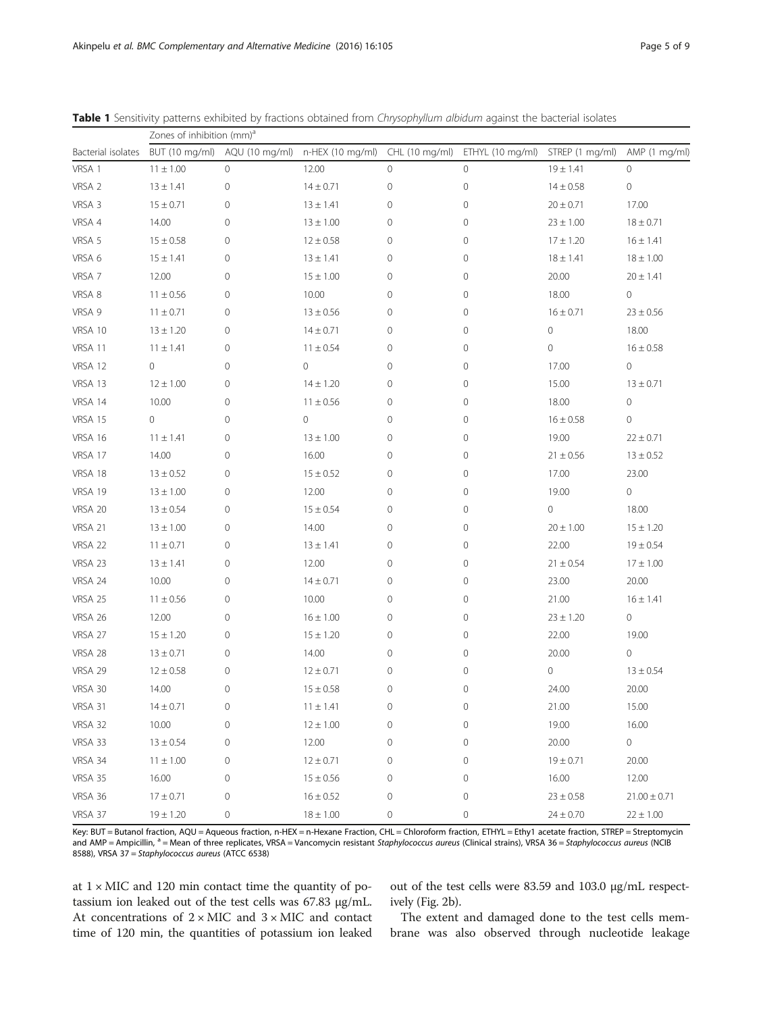|                    | Zones of inhibition (mm) <sup>a</sup> |                     |                  |              |                                 |                 |                     |  |
|--------------------|---------------------------------------|---------------------|------------------|--------------|---------------------------------|-----------------|---------------------|--|
| Bacterial isolates | BUT (10 mg/ml)                        | AQU (10 mg/ml)      | n-HEX (10 mg/ml) |              | CHL (10 mg/ml) ETHYL (10 mg/ml) | STREP (1 mg/ml) | AMP (1 mg/ml)       |  |
| VRSA 1             | $11 \pm 1.00$                         | $\circ$             | 12.00            | $\mathbf{0}$ | $\mathsf{O}\xspace$             | $19 \pm 1.41$   | $\circ$             |  |
| VRSA 2             | $13 \pm 1.41$                         | 0                   | $14 \pm 0.71$    | $\mathbf 0$  | $\mathsf{O}\xspace$             | $14 \pm 0.58$   | $\mathbb O$         |  |
| VRSA 3             | $15 \pm 0.71$                         | 0                   | $13 \pm 1.41$    | 0            | $\mathsf{O}\xspace$             | $20 \pm 0.71$   | 17.00               |  |
| VRSA 4             | 14.00                                 | 0                   | $13 \pm 1.00$    | $\mathbf 0$  | $\mathbf 0$                     | $23 \pm 1.00$   | $18 \pm 0.71$       |  |
| VRSA 5             | $15 \pm 0.58$                         | 0                   | $12 \pm 0.58$    | 0            | $\mathbf 0$                     | $17 \pm 1.20$   | $16 \pm 1.41$       |  |
| VRSA 6             | $15 \pm 1.41$                         | 0                   | $13 \pm 1.41$    | 0            | 0                               | $18 \pm 1.41$   | $18 \pm 1.00$       |  |
| VRSA 7             | 12.00                                 | 0                   | $15 \pm 1.00$    | 0            | 0                               | 20.00           | $20 \pm 1.41$       |  |
| VRSA 8             | $11 \pm 0.56$                         | 0                   | 10.00            | $\mathbf 0$  | $\mathsf{O}\xspace$             | 18.00           | $\circ$             |  |
| VRSA 9             | $11 \pm 0.71$                         | 0                   | $13 \pm 0.56$    | 0            | $\mathsf{O}\xspace$             | $16 \pm 0.71$   | $23 \pm 0.56$       |  |
| VRSA 10            | $13 \pm 1.20$                         | 0                   | $14 \pm 0.71$    | $\mathbf 0$  | $\mathbf 0$                     | 0               | 18.00               |  |
| VRSA 11            | $11 \pm 1.41$                         | 0                   | $11 \pm 0.54$    | 0            | $\mathsf{O}\xspace$             | 0               | $16 \pm 0.58$       |  |
| VRSA 12            | 0                                     | 0                   | 0                | 0            | 0                               | 17.00           | $\circ$             |  |
| VRSA 13            | $12 \pm 1.00$                         | 0                   | $14 \pm 1.20$    | 0            | $\mathbf 0$                     | 15.00           | $13 \pm 0.71$       |  |
| VRSA 14            | 10.00                                 | 0                   | $11 \pm 0.56$    | $\mathbf 0$  | $\mathsf{O}\xspace$             | 18.00           | $\circ$             |  |
| VRSA 15            | 0                                     | 0                   | 0                | 0            | $\mathsf{O}\xspace$             | $16 \pm 0.58$   | $\circ$             |  |
| VRSA 16            | $11 \pm 1.41$                         | 0                   | $13 \pm 1.00$    | 0            | $\mathbf 0$                     | 19.00           | $22 \pm 0.71$       |  |
| VRSA 17            | 14.00                                 | 0                   | 16.00            | 0            | $\mathsf{O}\xspace$             | $21 \pm 0.56$   | $13 \pm 0.52$       |  |
| VRSA 18            | $13 \pm 0.52$                         | 0                   | $15 \pm 0.52$    | 0            | 0                               | 17.00           | 23.00               |  |
| VRSA 19            | $13 \pm 1.00$                         | 0                   | 12.00            | 0            | 0                               | 19.00           | 0                   |  |
| VRSA 20            | $13 \pm 0.54$                         | 0                   | $15 \pm 0.54$    | $\mathbf 0$  | $\mathbf 0$                     | 0               | 18.00               |  |
| VRSA 21            | $13 \pm 1.00$                         | 0                   | 14.00            | 0            | $\mathsf{O}\xspace$             | $20 \pm 1.00$   | $15 \pm 1.20$       |  |
| VRSA 22            | $11 \pm 0.71$                         | 0                   | $13 \pm 1.41$    | 0            | $\mathbf 0$                     | 22.00           | $19 \pm 0.54$       |  |
| VRSA 23            | $13 \pm 1.41$                         | 0                   | 12.00            | 0            | $\mathsf{O}\xspace$             | $21 \pm 0.54$   | $17 \pm 1.00$       |  |
| VRSA 24            | 10.00                                 | 0                   | $14 \pm 0.71$    | 0            | 0                               | 23.00           | 20.00               |  |
| VRSA 25            | $11 \pm 0.56$                         | 0                   | 10.00            | 0            | 0                               | 21.00           | $16 \pm 1.41$       |  |
| VRSA 26            | 12.00                                 | 0                   | $16 \pm 1.00$    | $\mathbf 0$  | $\mathsf{O}\xspace$             | $23 \pm 1.20$   | $\mathsf{O}\xspace$ |  |
| VRSA 27            | $15 \pm 1.20$                         | 0                   | $15 \pm 1.20$    | 0            | $\mathsf{O}\xspace$             | 22.00           | 19.00               |  |
| VRSA 28            | $13 \pm 0.71$                         | 0                   | 14.00            | 0            | $\mathbf 0$                     | 20.00           | 0                   |  |
| VRSA 29            | $12 \pm 0.58$                         | 0                   | $12 \pm 0.71$    | 0            | 0                               | 0               | $13 \pm 0.54$       |  |
| VRSA 30            | 14.00                                 | 0                   | $15 \pm 0.58$    | 0            | $\mathsf{O}\xspace$             | 24.00           | 20.00               |  |
| VRSA 31            | $14 \pm 0.71$                         | $\mathsf{O}\xspace$ | $11 \pm 1.41$    | $\mathbf 0$  | $\mathbf 0$                     | 21.00           | 15.00               |  |
| VRSA 32            | 10.00                                 | $\mathsf{O}\xspace$ | $12 \pm 1.00$    | $\mathbf 0$  | $\mathsf{O}\xspace$             | 19.00           | 16.00               |  |
| VRSA 33            | $13 \pm 0.54$                         | 0                   | 12.00            | 0            | $\mathsf{O}\xspace$             | 20.00           | $\mathbb O$         |  |
| VRSA 34            | $11 \pm 1.00$                         | 0                   | $12 \pm 0.71$    | $\mathbf 0$  | $\mathbf 0$                     | $19 \pm 0.71$   | 20.00               |  |
| VRSA 35            | 16.00                                 | $\mathbf 0$         | $15 \pm 0.56$    | $\mathbf 0$  | $\mathsf{O}\xspace$             | 16.00           | 12.00               |  |
| VRSA 36            | $17 \pm 0.71$                         | 0                   | $16 \pm 0.52$    | 0            | 0                               | $23 \pm 0.58$   | $21.00 \pm 0.71$    |  |
| VRSA 37            | $19 \pm 1.20$                         | 0                   | $18 \pm 1.00$    | $\mathbf 0$  | $\mathsf{O}\xspace$             | $24 \pm 0.70$   | $22 \pm 1.00$       |  |

<span id="page-4-0"></span>Table 1 Sensitivity patterns exhibited by fractions obtained from Chrysophyllum albidum against the bacterial isolates

Key: BUT = Butanol fraction, AQU = Aqueous fraction, n-HEX = n-Hexane Fraction, CHL = Chloroform fraction, ETHYL = Ethy1 acetate fraction, STREP = Streptomycin and AMP = Ampicillin, <sup>a</sup> = Mean of three replicates, VRSA = Vancomycin resistant Staphylococcus aureus (Clinical strains), VRSA 36 = Staphylococcus aureus (NCIB 8588), VRSA 37 = Staphylococcus aureus (ATCC 6538)

at  $1 \times$  MIC and 120 min contact time the quantity of potassium ion leaked out of the test cells was 67.83 μg/mL. At concentrations of  $2 \times$  MIC and  $3 \times$  MIC and contact time of 120 min, the quantities of potassium ion leaked out of the test cells were 83.59 and 103.0 μg/mL respectively (Fig. [2b](#page-6-0)).

The extent and damaged done to the test cells membrane was also observed through nucleotide leakage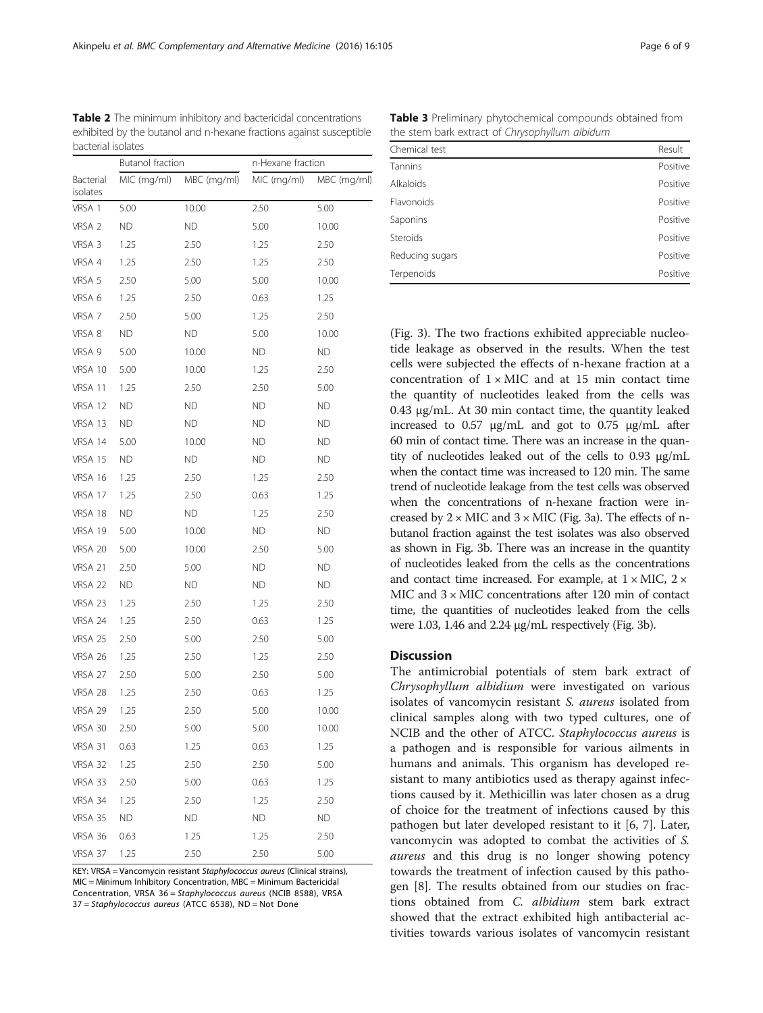<span id="page-5-0"></span>Table 2 The minimum inhibitory and bactericidal concentrations exhibited by the butanol and n-hexane fractions against susceptible bacterial isolates

|                       | Butanol fraction |             | n-Hexane fraction |             |  |
|-----------------------|------------------|-------------|-------------------|-------------|--|
| Bacterial<br>isolates | MIC (mg/ml)      | MBC (mg/ml) | MIC (mg/ml)       | MBC (mg/ml) |  |
| VRSA 1                | 5.00             | 10.00       | 2.50              | 5.00        |  |
| VRSA <sub>2</sub>     | ΝD               | <b>ND</b>   | 5.00              | 10.00       |  |
| VRSA 3                | 1.25             | 2.50        | 1.25              | 2.50        |  |
| VRSA 4                | 1.25             | 2.50        | 1.25              | 2.50        |  |
| VRSA 5                | 2.50             | 5.00        | 5.00              | 10.00       |  |
| VRSA 6                | 1.25             | 2.50        | 0.63              | 1.25        |  |
| VRSA 7                | 2.50             | 5.00        | 1.25              | 2.50        |  |
| VRSA 8                | ΝD               | ND.         | 5.00              | 10.00       |  |
| VRSA 9                | 5.00             | 10.00       | ΝD                | ND          |  |
| VRSA 10               | 5.00             | 10.00       | 1.25              | 2.50        |  |
| VRSA 11               | 1.25             | 2.50        | 2.50              | 5.00        |  |
| VRSA 12               | ΝD               | ND          | <b>ND</b>         | ND          |  |
| VRSA 13               | ΝD               | ND.         | ΝD                | ND.         |  |
| VRSA 14               | 5.00             | 10.00       | ΝD                | ND.         |  |
| VRSA 15               | ΝD               | ND          | ΝD                | ND          |  |
| VRSA 16               | 1.25             | 2.50        | 1.25              | 2.50        |  |
| VRSA 17               | 1.25             | 2.50        | 0.63              | 1.25        |  |
| VRSA 18               | ΝD               | ND          | 1.25              | 2.50        |  |
| VRSA 19               | 5.00             | 10.00       | ΝD                | ND          |  |
| VRSA 20               | 5.00             | 10.00       | 2.50              | 5.00        |  |
| VRSA 21               | 2.50             | 5.00        | ΝD                | ND          |  |
| VRSA 22               | ΝD               | ND.         | ΝD                | ND          |  |
| VRSA 23               | 1.25             | 2.50        | 1.25              | 2.50        |  |
| VRSA 24               | 1.25             | 2.50        | 0.63              | 1.25        |  |
| VRSA 25               | 2.50             | 5.00        | 2.50              | 5.00        |  |
| VRSA 26               | 1.25             | 2.50        | 1.25              | 2.50        |  |
| VRSA 27               | 2.50             | 5.00        | 2.50              | 5.00        |  |
| VRSA 28               | 1.25             | 2.50        | 0.63              | 1.25        |  |
| VRSA 29               | 1.25             | 2.50        | 5.00              | 10.00       |  |
| VRSA 30               | 2.50             | 5.00        | 5.00              | 10.00       |  |
| VRSA 31               | 0.63             | 1.25        | 0.63              | 1.25        |  |
| VRSA 32               | 1.25             | 2.50        | 2.50              | 5.00        |  |
| VRSA 33               | 2.50             | 5.00        | 0.63              | 1.25        |  |
| VRSA 34               | 1.25             | 2.50        | 1.25              | 2.50        |  |
| VRSA 35               | ND               | <b>ND</b>   | <b>ND</b>         | <b>ND</b>   |  |
| VRSA 36               | 0.63             | 1.25        | 1.25              | 2.50        |  |
| VRSA 37               | 1.25             | 2.50        | 2.50              | 5.00        |  |

KEY: VRSA = Vancomycin resistant Staphylococcus aureus (Clinical strains), MIC = Minimum Inhibitory Concentration, MBC = Minimum Bactericidal Concentration, VRSA 36 = Staphylococcus aureus (NCIB 8588), VRSA 37 = Staphylococcus aureus (ATCC 6538), ND = Not Done

Table 3 Preliminary phytochemical compounds obtained from the stem bark extract of Chrysophyllum albidum

| Chemical test   | Result   |
|-----------------|----------|
| Tannins         | Positive |
| Alkaloids       | Positive |
| Flavonoids      | Positive |
| Saponins        | Positive |
| Steroids        | Positive |
| Reducing sugars | Positive |
| Terpenoids      | Positive |

(Fig. [3\)](#page-7-0). The two fractions exhibited appreciable nucleotide leakage as observed in the results. When the test cells were subjected the effects of n-hexane fraction at a concentration of  $1 \times$  MIC and at 15 min contact time the quantity of nucleotides leaked from the cells was 0.43 μg/mL. At 30 min contact time, the quantity leaked increased to 0.57 μg/mL and got to 0.75 μg/mL after 60 min of contact time. There was an increase in the quantity of nucleotides leaked out of the cells to 0.93 μg/mL when the contact time was increased to 120 min. The same trend of nucleotide leakage from the test cells was observed when the concentrations of n-hexane fraction were increased by  $2 \times$  MIC and  $3 \times$  MIC (Fig. [3a](#page-7-0)). The effects of nbutanol fraction against the test isolates was also observed as shown in Fig. [3b](#page-7-0). There was an increase in the quantity of nucleotides leaked from the cells as the concentrations and contact time increased. For example, at  $1 \times$  MIC,  $2 \times$ MIC and 3 × MIC concentrations after 120 min of contact time, the quantities of nucleotides leaked from the cells were 1.03, 1.46 and 2.24 μg/mL respectively (Fig. [3b](#page-7-0)).

#### **Discussion**

The antimicrobial potentials of stem bark extract of Chrysophyllum albidium were investigated on various isolates of vancomycin resistant S. aureus isolated from clinical samples along with two typed cultures, one of NCIB and the other of ATCC. Staphylococcus aureus is a pathogen and is responsible for various ailments in humans and animals. This organism has developed resistant to many antibiotics used as therapy against infections caused by it. Methicillin was later chosen as a drug of choice for the treatment of infections caused by this pathogen but later developed resistant to it [\[6](#page-8-0), [7\]](#page-8-0). Later, vancomycin was adopted to combat the activities of S. aureus and this drug is no longer showing potency towards the treatment of infection caused by this pathogen [\[8](#page-8-0)]. The results obtained from our studies on fractions obtained from C. albidium stem bark extract showed that the extract exhibited high antibacterial activities towards various isolates of vancomycin resistant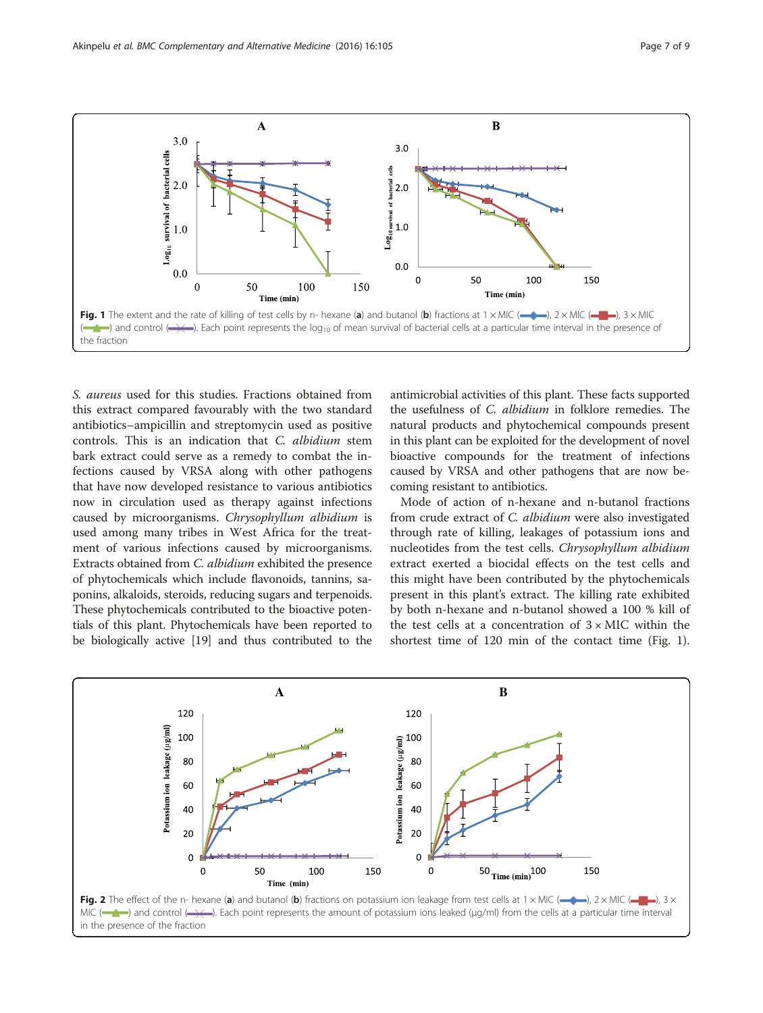<span id="page-6-0"></span>

S. aureus used for this studies. Fractions obtained from this extract compared favourably with the two standard antibiotics–ampicillin and streptomycin used as positive controls. This is an indication that C. albidium stem bark extract could serve as a remedy to combat the infections caused by VRSA along with other pathogens that have now developed resistance to various antibiotics now in circulation used as therapy against infections caused by microorganisms. Chrysophyllum albidium is used among many tribes in West Africa for the treatment of various infections caused by microorganisms. Extracts obtained from C. albidium exhibited the presence of phytochemicals which include flavonoids, tannins, saponins, alkaloids, steroids, reducing sugars and terpenoids. These phytochemicals contributed to the bioactive potentials of this plant. Phytochemicals have been reported to be biologically active [[19](#page-8-0)] and thus contributed to the

antimicrobial activities of this plant. These facts supported the usefulness of C. albidium in folklore remedies. The natural products and phytochemical compounds present in this plant can be exploited for the development of novel bioactive compounds for the treatment of infections caused by VRSA and other pathogens that are now becoming resistant to antibiotics.

Mode of action of n-hexane and n-butanol fractions from crude extract of C. albidium were also investigated through rate of killing, leakages of potassium ions and nucleotides from the test cells. Chrysophyllum albidium extract exerted a biocidal effects on the test cells and this might have been contributed by the phytochemicals present in this plant's extract. The killing rate exhibited by both n-hexane and n-butanol showed a 100 % kill of the test cells at a concentration of  $3 \times$  MIC within the shortest time of 120 min of the contact time (Fig. 1).

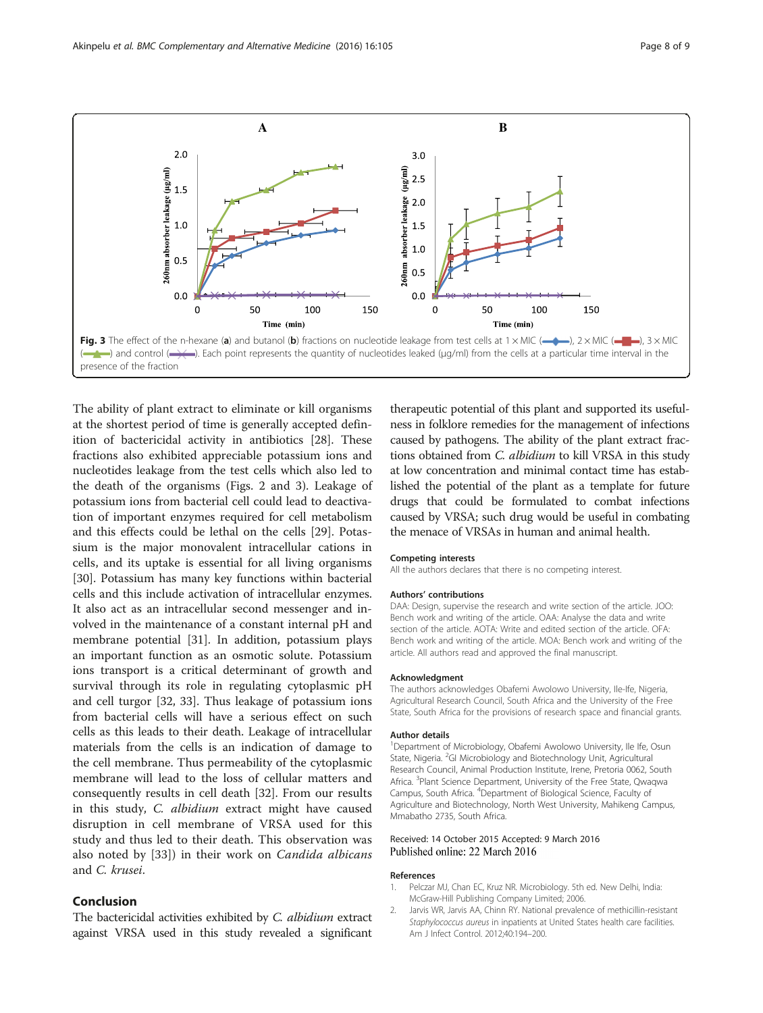<span id="page-7-0"></span>

The ability of plant extract to eliminate or kill organisms at the shortest period of time is generally accepted definition of bactericidal activity in antibiotics [[28](#page-8-0)]. These fractions also exhibited appreciable potassium ions and nucleotides leakage from the test cells which also led to the death of the organisms (Figs. [2](#page-6-0) and 3). Leakage of potassium ions from bacterial cell could lead to deactivation of important enzymes required for cell metabolism and this effects could be lethal on the cells [[29\]](#page-8-0). Potassium is the major monovalent intracellular cations in cells, and its uptake is essential for all living organisms [[30\]](#page-8-0). Potassium has many key functions within bacterial cells and this include activation of intracellular enzymes. It also act as an intracellular second messenger and involved in the maintenance of a constant internal pH and membrane potential [\[31](#page-8-0)]. In addition, potassium plays an important function as an osmotic solute. Potassium ions transport is a critical determinant of growth and survival through its role in regulating cytoplasmic pH and cell turgor [\[32, 33](#page-8-0)]. Thus leakage of potassium ions from bacterial cells will have a serious effect on such cells as this leads to their death. Leakage of intracellular materials from the cells is an indication of damage to the cell membrane. Thus permeability of the cytoplasmic membrane will lead to the loss of cellular matters and consequently results in cell death [[32\]](#page-8-0). From our results in this study, C. albidium extract might have caused disruption in cell membrane of VRSA used for this study and thus led to their death. This observation was also noted by [[33\]](#page-8-0)) in their work on Candida albicans and C. krusei.

## Conclusion

The bactericidal activities exhibited by C. albidium extract against VRSA used in this study revealed a significant

therapeutic potential of this plant and supported its usefulness in folklore remedies for the management of infections caused by pathogens. The ability of the plant extract fractions obtained from C. albidium to kill VRSA in this study at low concentration and minimal contact time has established the potential of the plant as a template for future drugs that could be formulated to combat infections caused by VRSA; such drug would be useful in combating the menace of VRSAs in human and animal health.

#### Competing interests

All the authors declares that there is no competing interest.

#### Authors' contributions

DAA: Design, supervise the research and write section of the article. JOO: Bench work and writing of the article. OAA: Analyse the data and write section of the article. AOTA: Write and edited section of the article. OFA: Bench work and writing of the article. MOA: Bench work and writing of the article. All authors read and approved the final manuscript.

#### Acknowledgment

The authors acknowledges Obafemi Awolowo University, Ile-Ife, Nigeria, Agricultural Research Council, South Africa and the University of the Free State, South Africa for the provisions of research space and financial grants.

#### Author details

<sup>1</sup>Department of Microbiology, Obafemi Awolowo University, Ile Ife, Osun State, Nigeria. <sup>2</sup>GI Microbiology and Biotechnology Unit, Agricultural Research Council, Animal Production Institute, Irene, Pretoria 0062, South Africa. <sup>3</sup>Plant Science Department, University of the Free State, Qwaqwa Campus, South Africa. <sup>4</sup> Department of Biological Science, Faculty of Agriculture and Biotechnology, North West University, Mahikeng Campus, Mmabatho 2735, South Africa.

#### Received: 14 October 2015 Accepted: 9 March 2016 Published online: 22 March 2016

#### References

- 1. Pelczar MJ, Chan EC, Kruz NR. Microbiology. 5th ed. New Delhi, India: McGraw-Hill Publishing Company Limited; 2006.
- 2. Jarvis WR, Jarvis AA, Chinn RY. National prevalence of methicillin-resistant Staphylococcus aureus in inpatients at United States health care facilities. Am J Infect Control. 2012;40:194–200.